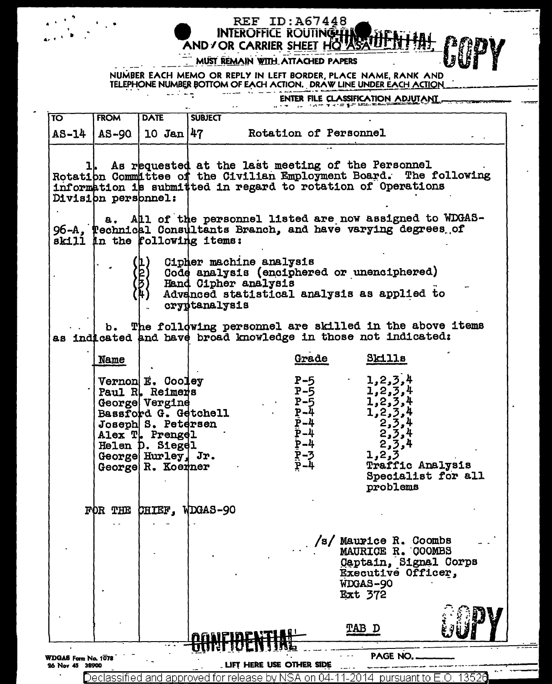## Δĭ. MUST REMAIN WITH ATTACHED PAPERS

NUMBER EACH MEMO OR REPLY IN LEFT BORDER, PLACE NAME, RANK AND TELEPHONE NUMBER BOTTOM OF EACH ACTION. DRAW LINE UNDER EACH ACTION وكالب كالمسامية المصاددة

AND / OR CARRIER SHEET HO ASAIL

**REF ID: A67448 INTEROFFICE ROUTING THE** 

ENTER FILE CLASSIFICATION ADJUTANT

 $\mathbb{I}$ 

| $\overline{\mathrm{TO}}$                                                             | <b>FROM</b>         | <b>DATE</b>                                                    | <b>SUBJECT</b>                                                                                                                                                |                                                                                   |                                                                                                                                                                                       |  |  |
|--------------------------------------------------------------------------------------|---------------------|----------------------------------------------------------------|---------------------------------------------------------------------------------------------------------------------------------------------------------------|-----------------------------------------------------------------------------------|---------------------------------------------------------------------------------------------------------------------------------------------------------------------------------------|--|--|
|                                                                                      |                     |                                                                | AS-14   AS-90   10 Jan   47 Rotation of Personnel                                                                                                             |                                                                                   |                                                                                                                                                                                       |  |  |
|                                                                                      | Division personnel: |                                                                | As requested at the last meeting of the Personnel<br>information is submitted in regard to rotation of Operations                                             |                                                                                   | Rotation Committee of the Civilian Employment Board. The following                                                                                                                    |  |  |
|                                                                                      |                     |                                                                | skill in the rollowing items:                                                                                                                                 |                                                                                   | a. All of the personnel listed are now assigned to WDGAS-<br>96-A, Pechnical Consultants Branch, and have varying degrees of                                                          |  |  |
|                                                                                      |                     |                                                                | Cipher machine analysis<br>Code analysis (enciphered or unenciphered)<br>Hand Cipher analysis<br>Advenced statistical analysis as applied to<br>cryptanalysis |                                                                                   |                                                                                                                                                                                       |  |  |
|                                                                                      |                     |                                                                | as indicated and have broad knowledge in those not indicated:                                                                                                 |                                                                                   | b. The following personnel are skilled in the above items                                                                                                                             |  |  |
|                                                                                      | Name                |                                                                |                                                                                                                                                               | Grade                                                                             | Skills                                                                                                                                                                                |  |  |
|                                                                                      |                     | <b>Vernon E. Cooley<br/>Paul R. Reimers<br/>George Vergine</b> | Bassford G. Getchell<br>Joseph S. Petersen<br>Alex T. Prengel<br>Helen D. Siegel<br>George Hurley, Jr.<br>George R. Koerner                                   | $P-5$<br>$P-5$<br>$P-\overline{5}$<br>$P-4$<br>$\overline{P}-4$<br>$P-4$<br>$P-4$ | $1, 2, 3, 4$<br>$1, 2, 3, 4$<br>$1, 2, 3, 4$<br>$1, 2, 3, 4$<br>1, 2, 3, 4<br>$2,3,4$<br>2,3,4<br>2,3,4<br>P-3<br>P-4 1,2,2<br>P-4 Traffic Analysis<br>Specialist for all<br>problems |  |  |
|                                                                                      |                     |                                                                | FOR THE CHIEF. WDGAS-90                                                                                                                                       |                                                                                   |                                                                                                                                                                                       |  |  |
|                                                                                      |                     |                                                                |                                                                                                                                                               |                                                                                   | /s/ Maurice R. Coombs<br>MAURICE R. COOMBS<br>Captain, Signal Corps<br>Executive Officer,<br>WDGAS-90<br><b>Ext 372</b>                                                               |  |  |
|                                                                                      |                     |                                                                | agnpirp                                                                                                                                                       |                                                                                   | TAB D                                                                                                                                                                                 |  |  |
| <b>PAGE NO</b><br>WDGAS Form No. 1078<br>LIFT HERE USE OTHER SIDE<br>26 Nov 45 38900 |                     |                                                                |                                                                                                                                                               |                                                                                   |                                                                                                                                                                                       |  |  |
|                                                                                      |                     |                                                                | Declassified and approved for release by NSA on 04                                                                                                            | -20                                                                               | 13526<br>pursuant to E.O.<br>4                                                                                                                                                        |  |  |